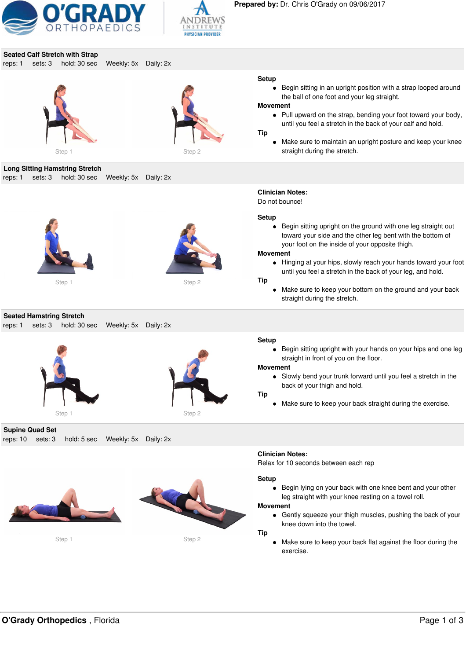



# **Seated Calf Stretch with Strap**

reps: 1 sets: 3 hold: 30 sec Weekly: 5x Daily: 2x





#### **Setup**

Begin sitting in an upright position with a strap looped around the ball of one foot and your leg straight.

#### **Movement**

**Clinician Notes:** Do not bounce!

• Pull upward on the strap, bending your foot toward your body, until you feel a stretch in the back of your calf and hold.

#### **Tip**

Make sure to maintain an upright posture and keep your knee straight during the stretch.

### **Long Sitting Hamstring Stretch**

reps: 1 sets: 3 hold: 30 sec Weekly: 5x Daily: 2x





# **Seated Hamstring Stretch**

reps: 1 sets: 3 hold: 30 sec Weekly: 5x Daily: 2x





**Supine Quad Set** reps: 10 sets: 3 hold: 5 sec Weekly: 5x Daily: 2x



Step 1 Step 2



# **Tip**

**Movement**

 $\bullet$ 

**Setup**

Make sure to keep your bottom on the ground and your back straight during the stretch.

Begin sitting upright on the ground with one leg straight out toward your side and the other leg bent with the bottom of

Hinging at your hips, slowly reach your hands toward your foot until you feel a stretch in the back of your leg, and hold.

your foot on the inside of your opposite thigh.

#### **Setup**

Begin sitting upright with your hands on your hips and one leg  $\bullet$ straight in front of you on the floor.

#### **Movement**

Slowly bend your trunk forward until you feel a stretch in the back of your thigh and hold.

#### **Tip**

Make sure to keep your back straight during the exercise.

#### **Clinician Notes:**

Relax for 10 seconds between each rep

#### **Setup**

Begin lying on your back with one knee bent and your other leg straight with your knee resting on a towel roll.

#### **Movement**

Gently squeeze your thigh muscles, pushing the back of your knee down into the towel.

#### **Tip**

Make sure to keep your back flat against the floor during the exercise.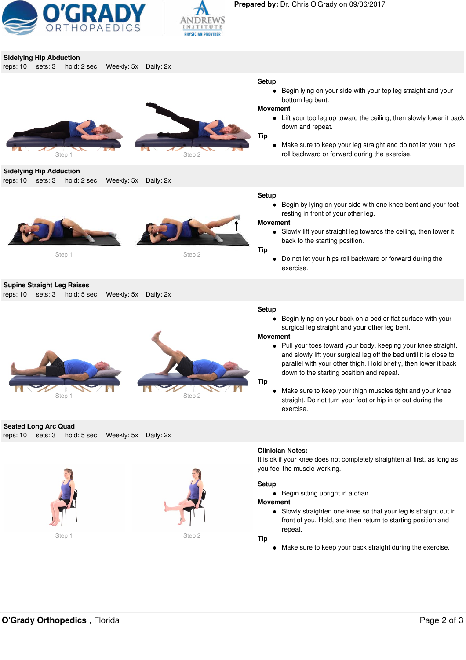

l



| <b>Sidelying Hip Abduction</b>                                                                  |                                                                                                                                                                                                                                                                                                                                                                                                                                                                                                                                                                                               |
|-------------------------------------------------------------------------------------------------|-----------------------------------------------------------------------------------------------------------------------------------------------------------------------------------------------------------------------------------------------------------------------------------------------------------------------------------------------------------------------------------------------------------------------------------------------------------------------------------------------------------------------------------------------------------------------------------------------|
| reps: 10<br>sets: 3<br>hold: 2 sec<br>Weekly: 5x Daily: 2x<br>Step 2<br>Step 1                  | <b>Setup</b><br>Begin lying on your side with your top leg straight and your<br>$\bullet$<br>bottom leg bent.<br><b>Movement</b><br>Lift your top leg up toward the ceiling, then slowly lower it back<br>$\bullet$<br>down and repeat.<br><b>Tip</b><br>Make sure to keep your leg straight and do not let your hips<br>$\bullet$<br>roll backward or forward during the exercise.                                                                                                                                                                                                           |
| <b>Sidelying Hip Adduction</b><br>reps: 10<br>sets: 3<br>hold: 2 sec<br>Weekly: 5x Daily: 2x    |                                                                                                                                                                                                                                                                                                                                                                                                                                                                                                                                                                                               |
| Step 2<br>Step 1                                                                                | <b>Setup</b><br>Begin by lying on your side with one knee bent and your foot<br>$\bullet$<br>resting in front of your other leg.<br><b>Movement</b><br>Slowly lift your straight leg towards the ceiling, then lower it<br>$\bullet$<br>back to the starting position.<br><b>Tip</b><br>Do not let your hips roll backward or forward during the<br>$\bullet$<br>exercise.                                                                                                                                                                                                                    |
| <b>Supine Straight Leg Raises</b><br>sets: 3<br>hold: 5 sec<br>Weekly: 5x Daily: 2x<br>reps: 10 |                                                                                                                                                                                                                                                                                                                                                                                                                                                                                                                                                                                               |
| Step 1<br>Step 2                                                                                | <b>Setup</b><br>Begin lying on your back on a bed or flat surface with your<br>$\bullet$<br>surgical leg straight and your other leg bent.<br><b>Movement</b><br>Pull your toes toward your body, keeping your knee straight,<br>$\bullet$<br>and slowly lift your surgical leg off the bed until it is close to<br>parallel with your other thigh. Hold briefly, then lower it back<br>down to the starting position and repeat.<br>Tip<br>Make sure to keep your thigh muscles tight and your knee<br>$\bullet$<br>straight. Do not turn your foot or hip in or out during the<br>exercise. |
| <b>Seated Long Arc Quad</b>                                                                     |                                                                                                                                                                                                                                                                                                                                                                                                                                                                                                                                                                                               |
| reps: 10<br>sets: 3<br>hold: 5 sec<br>Weekly: 5x Daily: 2x<br>Step 2<br>Step 1                  | <b>Clinician Notes:</b><br>It is ok if your knee does not completely straighten at first, as long as<br>you feel the muscle working.<br><b>Setup</b><br>Begin sitting upright in a chair.<br>$\bullet$<br><b>Movement</b><br>Slowly straighten one knee so that your leg is straight out in<br>$\bullet$<br>front of you. Hold, and then return to starting position and<br>repeat.<br><b>Tip</b><br>Make sure to keep your back straight during the exercise.<br>$\bullet$                                                                                                                   |
|                                                                                                 |                                                                                                                                                                                                                                                                                                                                                                                                                                                                                                                                                                                               |